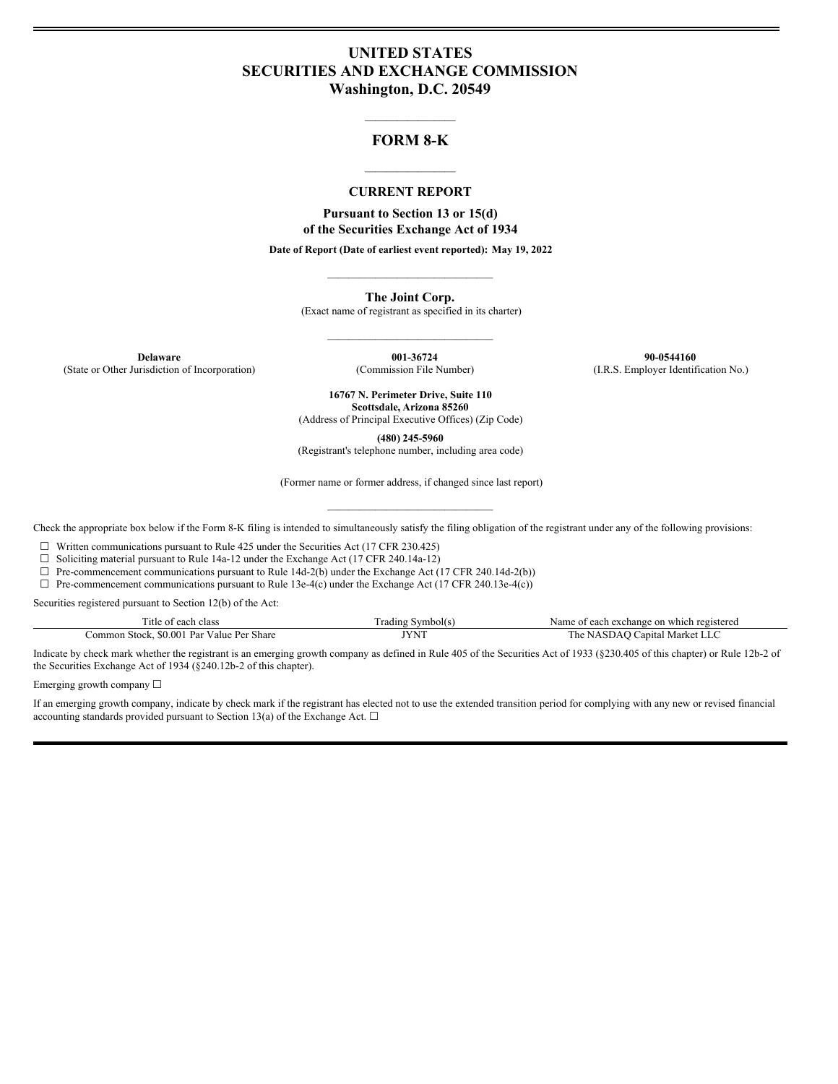## **UNITED STATES SECURITIES AND EXCHANGE COMMISSION Washington, D.C. 20549**

# $\mathcal{L}_\text{max}$  and  $\mathcal{L}_\text{max}$ **FORM 8-K**

## $\mathcal{L}_\text{max}$  and  $\mathcal{L}_\text{max}$ **CURRENT REPORT**

**Pursuant to Section 13 or 15(d) of the Securities Exchange Act of 1934**

**Date of Report (Date of earliest event reported): May 19, 2022** \_\_\_\_\_\_\_\_\_\_\_\_\_\_\_\_\_\_\_\_\_\_\_\_\_\_\_\_\_\_\_

**The Joint Corp.**

(Exact name of registrant as specified in its charter) \_\_\_\_\_\_\_\_\_\_\_\_\_\_\_\_\_\_\_\_\_\_\_\_\_\_\_\_\_\_\_

**Delaware 001-36724 90-0544160** (State or Other Jurisdiction of Incorporation) (Commission File Number) (I.R.S. Employer Identification No.)

> **16767 N. Perimeter Drive, Suite 110 Scottsdale, Arizona 85260** (Address of Principal Executive Offices) (Zip Code)

**(480) 245-5960**

(Registrant's telephone number, including area code)

(Former name or former address, if changed since last report) \_\_\_\_\_\_\_\_\_\_\_\_\_\_\_\_\_\_\_\_\_\_\_\_\_\_\_\_\_\_\_

Check the appropriate box below if the Form 8-K filing is intended to simultaneously satisfy the filing obligation of the registrant under any of the following provisions:

 $\Box$  Written communications pursuant to Rule 425 under the Securities Act (17 CFR 230.425)

□ Soliciting material pursuant to Rule 14a-12 under the Exchange Act (17 CFR 240.14a-12)<br>□ Pre-commencement communications pursuant to Rule 14d-2(b) under the Exchange Act (

Pre-commencement communications pursuant to Rule 14d-2(b) under the Exchange Act (17 CFR 240.14d-2(b))

 $\Box$  Pre-commencement communications pursuant to Rule 13e-4(c) under the Exchange Act (17 CFR 240.13e-4(c))

Securities registered pursuant to Section 12(b) of the Act:

| m.<br>l'itle oi<br>class<br>each                                                                                                                                                    | rading             | which<br>istered<br>exchange on a<br>Name<br>each. |
|-------------------------------------------------------------------------------------------------------------------------------------------------------------------------------------|--------------------|----------------------------------------------------|
| Par<br>SO 00<br><b>Stock</b><br>value<br>י בי<br>Share<br>.ommon<br>the contract of the contract of the contract of the contract of the contract of the contract of the contract of | <b>IVAIT</b><br>NI | anıta<br>٦e<br>. IN L.                             |

Indicate by check mark whether the registrant is an emerging growth company as defined in Rule 405 of the Securities Act of 1933 (§230.405 of this chapter) or Rule 12b-2 of the Securities Exchange Act of 1934 (§240.12b-2 of this chapter).

Emerging growth company ☐

If an emerging growth company, indicate by check mark if the registrant has elected not to use the extended transition period for complying with any new or revised financial accounting standards provided pursuant to Section 13(a) of the Exchange Act.  $\square$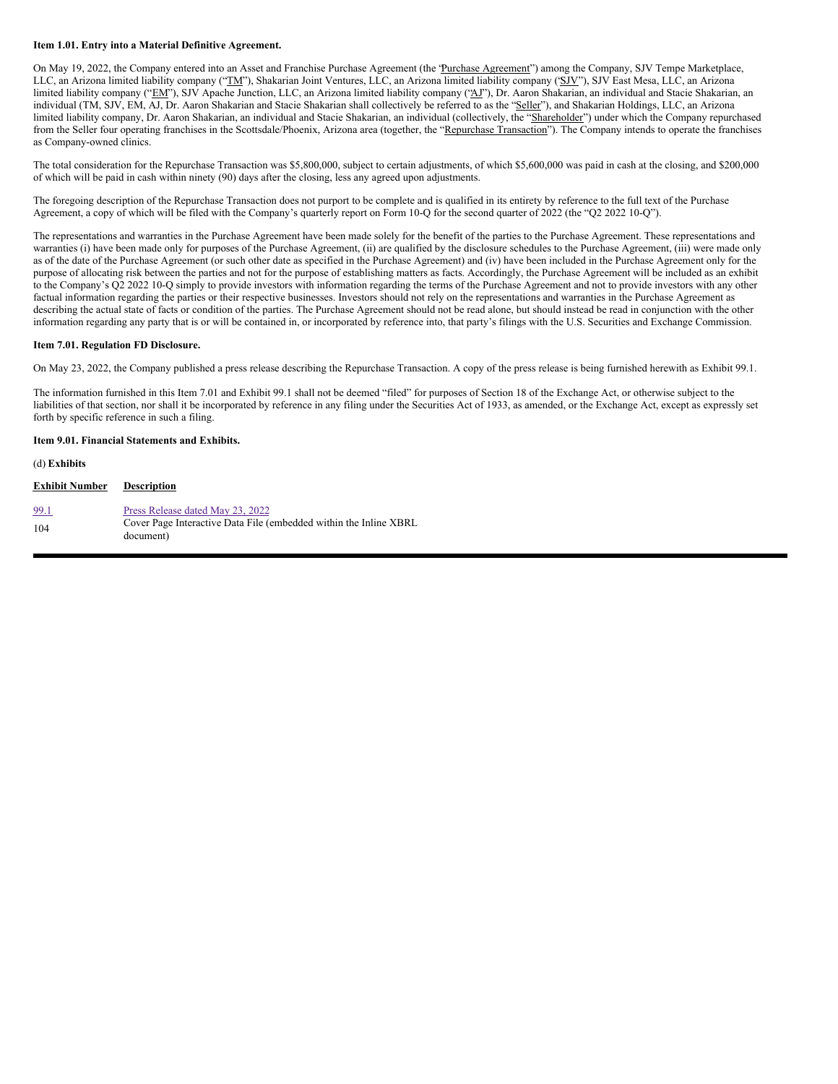#### **Item 1.01. Entry into a Material Definitive Agreement.**

On May 19, 2022, the Company entered into an Asset and Franchise Purchase Agreement (the 'Purchase Agreement'') among the Company, SJV Tempe Marketplace, LLC, an Arizona limited liability company ("TM"), Shakarian Joint Ventures, LLC, an Arizona limited liability company ('SJV''), SJV East Mesa, LLC, an Arizona limited liability company ("EM"), SJV Apache Junction, LLC, an Arizona limited liability company ("AJ"), Dr. Aaron Shakarian, an individual and Stacie Shakarian, an individual (TM, SJV, EM, AJ, Dr. Aaron Shakarian and Stacie Shakarian shall collectively be referred to as the "Seller"), and Shakarian Holdings, LLC, an Arizona limited liability company, Dr. Aaron Shakarian, an individual and Stacie Shakarian, an individual (collectively, the "Shareholder") under which the Company repurchased from the Seller four operating franchises in the Scottsdale/Phoenix, Arizona area (together, the "Repurchase Transaction"). The Company intends to operate the franchises as Company-owned clinics.

The total consideration for the Repurchase Transaction was \$5,800,000, subject to certain adjustments, of which \$5,600,000 was paid in cash at the closing, and \$200,000 of which will be paid in cash within ninety (90) days after the closing, less any agreed upon adjustments.

The foregoing description of the Repurchase Transaction does not purport to be complete and is qualified in its entirety by reference to the full text of the Purchase Agreement, a copy of which will be filed with the Company's quarterly report on Form 10-Q for the second quarter of 2022 (the "Q2 2022 10-Q").

The representations and warranties in the Purchase Agreement have been made solely for the benefit of the parties to the Purchase Agreement. These representations and warranties (i) have been made only for purposes of the Purchase Agreement, (ii) are qualified by the disclosure schedules to the Purchase Agreement, (iii) were made only as of the date of the Purchase Agreement (or such other date as specified in the Purchase Agreement) and (iv) have been included in the Purchase Agreement only for the purpose of allocating risk between the parties and not for the purpose of establishing matters as facts. Accordingly, the Purchase Agreement will be included as an exhibit to the Company's Q2 2022 10-Q simply to provide investors with information regarding the terms of the Purchase Agreement and not to provide investors with any other factual information regarding the parties or their respective businesses. Investors should not rely on the representations and warranties in the Purchase Agreement as describing the actual state of facts or condition of the parties. The Purchase Agreement should not be read alone, but should instead be read in conjunction with the other information regarding any party that is or will be contained in, or incorporated by reference into, that party's filings with the U.S. Securities and Exchange Commission.

#### **Item 7.01. Regulation FD Disclosure.**

On May 23, 2022, the Company published a press release describing the Repurchase Transaction. A copy of the press release is being furnished herewith as Exhibit 99.1.

The information furnished in this Item 7.01 and Exhibit 99.1 shall not be deemed "filed" for purposes of Section 18 of the Exchange Act, or otherwise subject to the liabilities of that section, nor shall it be incorporated by reference in any filing under the Securities Act of 1933, as amended, or the Exchange Act, except as expressly set forth by specific reference in such a filing.

#### **Item 9.01. Financial Statements and Exhibits.**

(d) **Exhibits**

| <b>Exhibit Number</b> | <b>Description</b>                                                             |
|-----------------------|--------------------------------------------------------------------------------|
| <u>99.1</u>           | Press Release dated May 23, 2022                                               |
| 104                   | Cover Page Interactive Data File (embedded within the Inline XBRL<br>document) |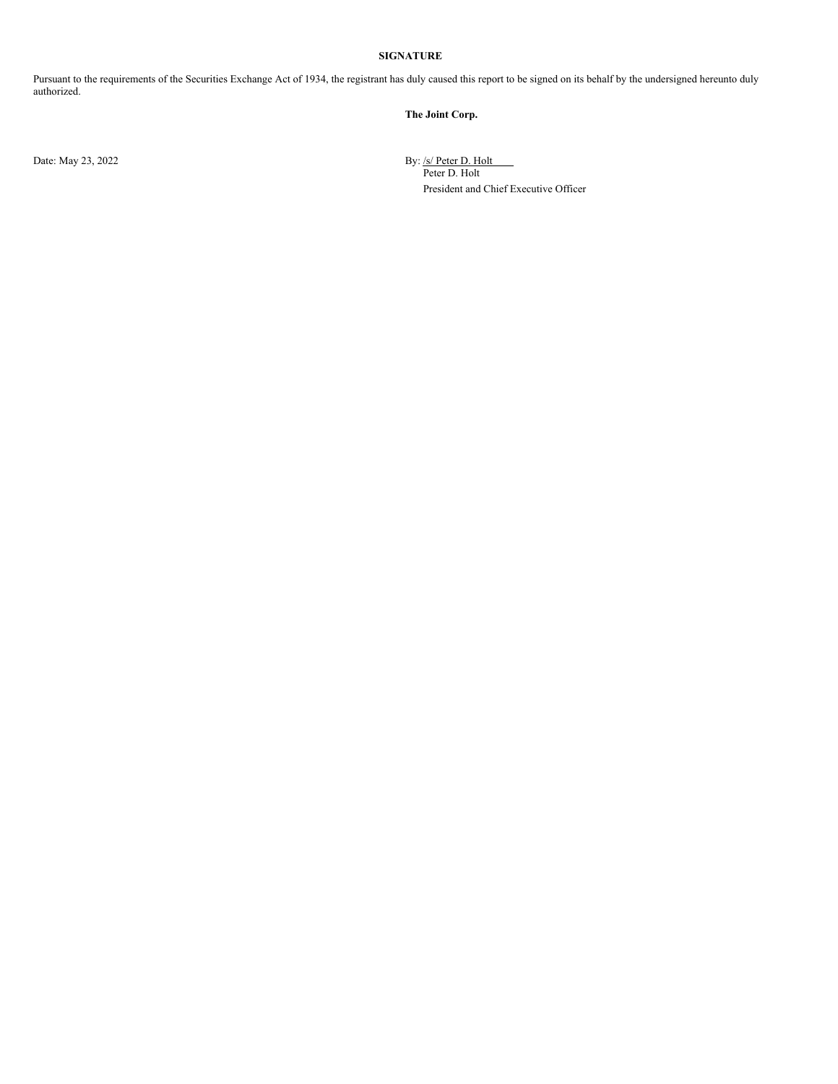### **SIGNATURE**

Pursuant to the requirements of the Securities Exchange Act of 1934, the registrant has duly caused this report to be signed on its behalf by the undersigned hereunto duly authorized.

**The Joint Corp.**

Date: May 23, 2022 By: /s/ Peter D. Holt

Peter D. Holt President and Chief Executive Officer